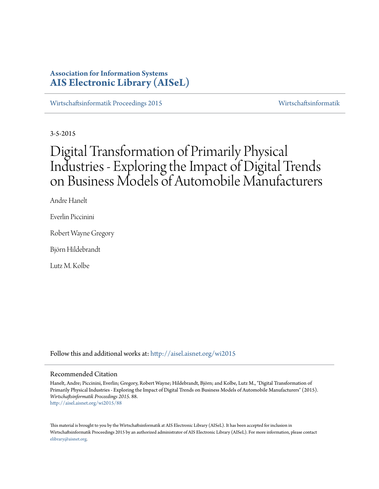# **Association for Information Systems [AIS Electronic Library \(AISeL\)](http://aisel.aisnet.org?utm_source=aisel.aisnet.org%2Fwi2015%2F88&utm_medium=PDF&utm_campaign=PDFCoverPages)**

[Wirtschaftsinformatik Proceedings 2015](http://aisel.aisnet.org/wi2015?utm_source=aisel.aisnet.org%2Fwi2015%2F88&utm_medium=PDF&utm_campaign=PDFCoverPages) [Wirtschaftsinformatik](http://aisel.aisnet.org/wi?utm_source=aisel.aisnet.org%2Fwi2015%2F88&utm_medium=PDF&utm_campaign=PDFCoverPages)

3-5-2015

# Digital Transformation of Primarily Physical Industries - Exploring the Impact of Digital Trends on Business Models of Automobile Manufacturers

Andre Hanelt

Everlin Piccinini

Robert Wayne Gregory

Björn Hildebrandt

Lutz M. Kolbe

Follow this and additional works at: [http://aisel.aisnet.org/wi2015](http://aisel.aisnet.org/wi2015?utm_source=aisel.aisnet.org%2Fwi2015%2F88&utm_medium=PDF&utm_campaign=PDFCoverPages)

#### Recommended Citation

Hanelt, Andre; Piccinini, Everlin; Gregory, Robert Wayne; Hildebrandt, Björn; and Kolbe, Lutz M., "Digital Transformation of Primarily Physical Industries - Exploring the Impact of Digital Trends on Business Models of Automobile Manufacturers" (2015). *Wirtschaftsinformatik Proceedings 2015*. 88. [http://aisel.aisnet.org/wi2015/88](http://aisel.aisnet.org/wi2015/88?utm_source=aisel.aisnet.org%2Fwi2015%2F88&utm_medium=PDF&utm_campaign=PDFCoverPages)

This material is brought to you by the Wirtschaftsinformatik at AIS Electronic Library (AISeL). It has been accepted for inclusion in Wirtschaftsinformatik Proceedings 2015 by an authorized administrator of AIS Electronic Library (AISeL). For more information, please contact [elibrary@aisnet.org.](mailto:elibrary@aisnet.org%3E)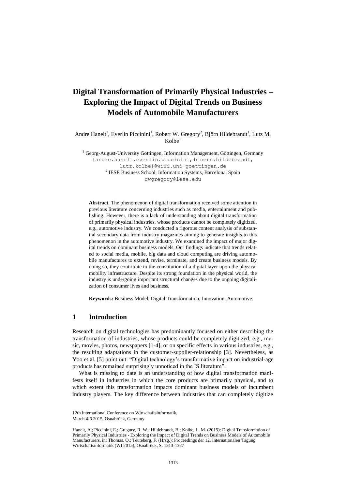# **Digital Transformation of Primarily Physical Industries – Exploring the Impact of Digital Trends on Business Models of Automobile Manufacturers**

Andre Hanelt<sup>1</sup>, Everlin Piccinini<sup>1</sup>, Robert W. Gregory<sup>2</sup>, Björn Hildebrandt<sup>1</sup>, Lutz M. Kolbe

 $1$  Georg-August-University Göttingen, Information Management, Göttingen, Germany {andre.hanelt,everlin.piccinini, bjoern.hildebrandt, lutz.kolbe}@wiwi.uni-goettingen.de <sup>2</sup> IESE Business School, Information Systems, Barcelona, Spain rwgregory@iese.edu

**Abstract.** The phenomenon of digital transformation received some attention in previous literature concerning industries such as media, entertainment and publishing. However, there is a lack of understanding about digital transformation of primarily physical industries, whose products cannot be completely digitized, e.g., automotive industry. We conducted a rigorous content analysis of substantial secondary data from industry magazines aiming to generate insights to this phenomenon in the automotive industry. We examined the impact of major digital trends on dominant business models. Our findings indicate that trends related to social media, mobile, big data and cloud computing are driving automobile manufactures to extend, revise, terminate, and create business models. By doing so, they contribute to the constitution of a digital layer upon the physical mobility infrastructure. Despite its strong foundation in the physical world, the industry is undergoing important structural changes due to the ongoing digitalization of consumer lives and business.

**Keywords:** Business Model, Digital Transformation, Innovation, Automotive.

## **1 Introduction**

Research on digital technologies has predominantly focused on either describing the transformation of industries, whose products could be completely digitized, e.g., music, movies, photos, newspapers [1-4], or on specific effects in various industries, e.g., the resulting adaptations in the customer-supplier-relationship [3]. Nevertheless, as Yoo et al. [5] point out: "Digital technology's transformative impact on industrial-age products has remained surprisingly unnoticed in the IS literature".

What is missing to date is an understanding of how digital transformation manifests itself in industries in which the core products are primarily physical, and to which extent this transformation impacts dominant business models of incumbent industry players. The key difference between industries that can completely digitize

<sup>12</sup>th International Conference on Wirtschaftsinformatik, March 4-6 2015, Osnabrück, Germany

Hanelt, A.; Piccinini, E.; Gregory, R. W.; Hildebrandt, B.; Kolbe, L. M. (2015): Digital Transformation of Primarily Physical Industries - Exploring the Impact of Digital Trends on Business Models of Automobile Manufacturers, in: Thomas. O.; Teuteberg, F. (Hrsg.): Proceedings der 12. Internationalen Tagung Wirtschaftsinformatik (WI 2015), Osnabrück, S. 1313-1327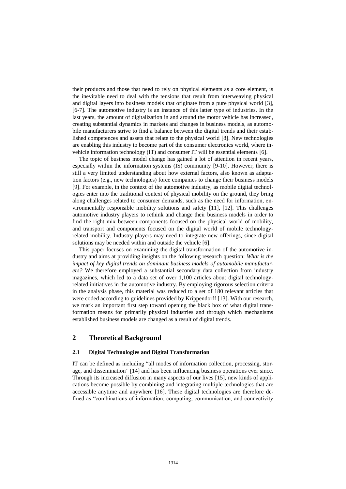their products and those that need to rely on physical elements as a core element, is the inevitable need to deal with the tensions that result from interweaving physical and digital layers into business models that originate from a pure physical world [3], [6-7]. The automotive industry is an instance of this latter type of industries. In the last years, the amount of digitalization in and around the motor vehicle has increased, creating substantial dynamics in markets and changes in business models, as automobile manufacturers strive to find a balance between the digital trends and their established competences and assets that relate to the physical world [8]. New technologies are enabling this industry to become part of the consumer electronics world, where invehicle information technology (IT) and consumer IT will be essential elements [6].

The topic of business model change has gained a lot of attention in recent years, especially within the information systems (IS) community [9-10]. However, there is still a very limited understanding about how external factors, also known as adaptation factors (e.g., new technologies) force companies to change their business models [9]. For example, in the context of the automotive industry, as mobile digital technologies enter into the traditional context of physical mobility on the ground, they bring along challenges related to consumer demands, such as the need for information, environmentally responsible mobility solutions and safety [11], [12]. This challenges automotive industry players to rethink and change their business models in order to find the right mix between components focused on the physical world of mobility, and transport and components focused on the digital world of mobile technologyrelated mobility. Industry players may need to integrate new offerings, since digital solutions may be needed within and outside the vehicle [6].

This paper focuses on examining the digital transformation of the automotive industry and aims at providing insights on the following research question: *What is the impact of key digital trends on dominant business models of automobile manufacturers?* We therefore employed a substantial secondary data collection from industry magazines, which led to a data set of over 1,100 articles about digital technologyrelated initiatives in the automotive industry. By employing rigorous selection criteria in the analysis phase, this material was reduced to a set of 180 relevant articles that were coded according to guidelines provided by Krippendorff [13]. With our research, we mark an important first step toward opening the black box of what digital transformation means for primarily physical industries and through which mechanisms established business models are changed as a result of digital trends.

## **2 Theoretical Background**

#### **2.1 Digital Technologies and Digital Transformation**

IT can be defined as including "all modes of information collection, processing, storage, and dissemination" [14] and has been influencing business operations ever since. Through its increased diffusion in many aspects of our lives [15], new kinds of applications become possible by combining and integrating multiple technologies that are accessible anytime and anywhere [16]. These digital technologies are therefore defined as "combinations of information, computing, communication, and connectivity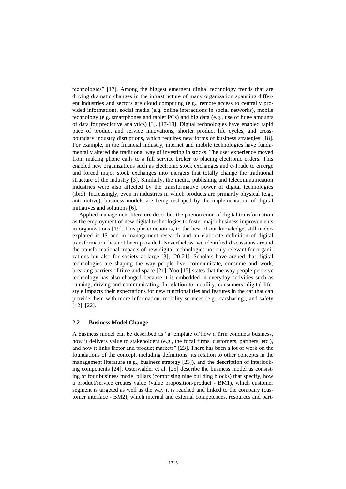technologies" [17]. Among the biggest emergent digital technology trends that are driving dramatic changes in the infrastructure of many organization spanning different industries and sectors are cloud computing (e.g., remote access to centrally provided information), social media (e.g. online interactions in social networks), mobile technology (e.g. smartphones and tablet PCs) and big data (e.g., use of huge amounts of data for predictive analytics) [3], [17-19]. Digital technologies have enabled rapid pace of product and service innovations, shorter product life cycles, and crossboundary industry disruptions, which requires new forms of business strategies [18]. For example, in the financial industry, internet and mobile technologies have fundamentally altered the traditional way of investing in stocks. The user experience moved from making phone calls to a full service broker to placing electronic orders. This enabled new organizations such as electronic stock exchanges and e-Trade to emerge and forced major stock exchanges into mergers that totally change the traditional structure of the industry [3]. Similarly, the media, publishing and telecommunication industries were also affected by the transformative power of digital technologies (ibid). Increasingly, even in industries in which products are primarily physical (e.g., automotive), business models are being reshaped by the implementation of digital initiatives and solutions [6].

Applied management literature describes the phenomenon of digital transformation as the employment of new digital technologies to foster major business improvements in organizations [19]. This phenomenon is, to the best of our knowledge, still underexplored in IS and in management research and an elaborate definition of digital transformation has not been provided. Nevertheless, we identified discussions around the transformational impacts of new digital technologies not only relevant for organizations but also for society at large [3], [20-21]. Scholars have argued that digital technologies are shaping the way people live, communicate, consume and work, breaking barriers of time and space [21]. Yoo [15] states that the way people perceive technology has also changed because it is embedded in everyday activities such as running, driving and communicating. In relation to mobility, consumers' digital lifestyle impacts their expectations for new functionalities and features in the car that can provide them with more information, mobility services (e.g., carsharing), and safety [12], [22].

#### **2.2 Business Model Change**

A business model can be described as "a template of how a firm conducts business, how it delivers value to stakeholders (e.g., the focal firms, customers, partners, etc.), and how it links factor and product markets" [23]. There has been a lot of work on the foundations of the concept, including definitions, its relation to other concepts in the management literature (e.g., business strategy [23]), and the description of interlocking components [24]. Osterwalder et al. [25] describe the business model as consisting of four business model pillars (comprising nine building blocks) that specify, how a product/service creates value (value proposition/product - BM1), which customer segment is targeted as well as the way it is reached and linked to the company (customer interface - BM2), which internal and external competences, resources and part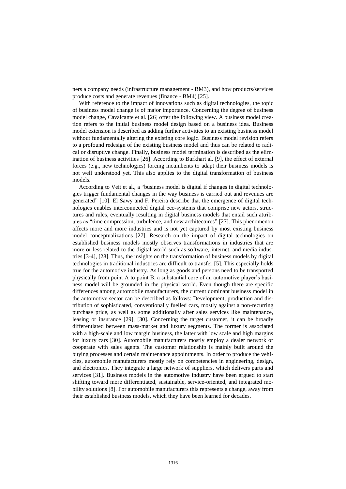ners a company needs (infrastructure management - BM3), and how products/services produce costs and generate revenues (finance - BM4) [25].

With reference to the impact of innovations such as digital technologies, the topic of business model change is of major importance. Concerning the degree of business model change, Cavalcante et al. [26] offer the following view. A business model creation refers to the initial business model design based on a business idea. Business model extension is described as adding further activities to an existing business model without fundamentally altering the existing core logic. Business model revision refers to a profound redesign of the existing business model and thus can be related to radical or disruptive change. Finally, business model termination is described as the elimination of business activities [26]. According to Burkhart al. [9], the effect of external forces (e.g., new technologies) forcing incumbents to adapt their business models is not well understood yet. This also applies to the digital transformation of business models.

According to Veit et al., a "business model is digital if changes in digital technologies trigger fundamental changes in the way business is carried out and revenues are generated" [10]. El Sawy and F. Pereira describe that the emergence of digital technologies enables interconnected digital eco-systems that comprise new actors, structures and rules, eventually resulting in digital business models that entail such attributes as "time compression, turbulence, and new architectures" [27]. This phenomenon affects more and more industries and is not yet captured by most existing business model conceptualizations [27]. Research on the impact of digital technologies on established business models mostly observes transformations in industries that are more or less related to the digital world such as software, internet, and media industries [3-4], [28]. Thus, the insights on the transformation of business models by digital technologies in traditional industries are difficult to transfer [5]. This especially holds true for the automotive industry. As long as goods and persons need to be transported physically from point A to point B, a substantial core of an automotive player's business model will be grounded in the physical world. Even though there are specific differences among automobile manufacturers, the current dominant business model in the automotive sector can be described as follows: Development, production and distribution of sophisticated, conventionally fuelled cars, mostly against a non-recurring purchase price, as well as some additionally after sales services like maintenance, leasing or insurance [29], [30]. Concerning the target customer, it can be broadly differentiated between mass-market and luxury segments. The former is associated with a high-scale and low margin business, the latter with low scale and high margins for luxury cars [30]. Automobile manufacturers mostly employ a dealer network or cooperate with sales agents. The customer relationship is mainly built around the buying processes and certain maintenance appointments. In order to produce the vehicles, automobile manufacturers mostly rely on competencies in engineering, design, and electronics. They integrate a large network of suppliers, which delivers parts and services [31]. Business models in the automotive industry have been argued to start shifting toward more differentiated, sustainable, service-oriented, and integrated mobility solutions [8]. For automobile manufacturers this represents a change, away from their established business models, which they have been learned for decades.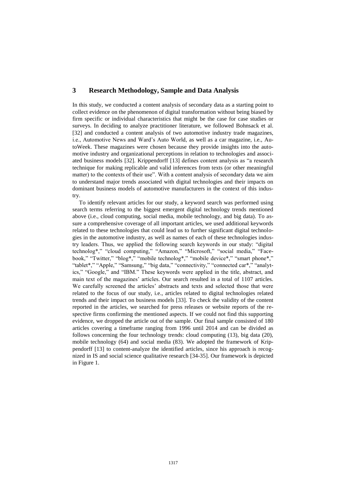# **3 Research Methodology, Sample and Data Analysis**

In this study, we conducted a content analysis of secondary data as a starting point to collect evidence on the phenomenon of digital transformation without being biased by firm specific or individual characteristics that might be the case for case studies or surveys. In deciding to analyze practitioner literature, we followed Bohnsack et al. [32] and conducted a content analysis of two automotive industry trade magazines, i.e., Automotive News and Ward's Auto World, as well as a car magazine, i.e., AutoWeek. These magazines were chosen because they provide insights into the automotive industry and organizational perceptions in relation to technologies and associated business models [32]. Krippendorff [13] defines content analysis as "a research technique for making replicable and valid inferences from texts (or other meaningful matter) to the contexts of their use". With a content analysis of secondary data we aim to understand major trends associated with digital technologies and their impacts on dominant business models of automotive manufacturers in the context of this industry.

To identify relevant articles for our study, a keyword search was performed using search terms referring to the biggest emergent digital technology trends mentioned above (i.e., cloud computing, social media, mobile technology, and big data). To assure a comprehensive coverage of all important articles, we used additional keywords related to these technologies that could lead us to further significant digital technologies in the automotive industry, as well as names of each of these technologies industry leaders. Thus, we applied the following search keywords in our study: "digital technolog\*," "cloud computing," "Amazon," "Microsoft," "social media," "Facebook," "Twitter," "blog\*," "mobile technolog\*," "mobile device\*," "smart phone\*," "tablet\*," "Apple," "Samsung," "big data," "connectivity," "connected car\*," "analytics," "Google," and "IBM." These keywords were applied in the title, abstract, and main text of the magazines' articles. Our search resulted in a total of 1107 articles. We carefully screened the articles' abstracts and texts and selected those that were related to the focus of our study, i.e., articles related to digital technologies related trends and their impact on business models [33]. To check the validity of the content reported in the articles, we searched for press releases or website reports of the respective firms confirming the mentioned aspects. If we could not find this supporting evidence, we dropped the article out of the sample. Our final sample consisted of 180 articles covering a timeframe ranging from 1996 until 2014 and can be divided as follows concerning the four technology trends: cloud computing (13), big data (20), mobile technology (64) and social media (83). We adopted the framework of Krippendorff [13] to content-analyze the identified articles, since his approach is recognized in IS and social science qualitative research [34-35]. Our framework is depicted in Figure 1.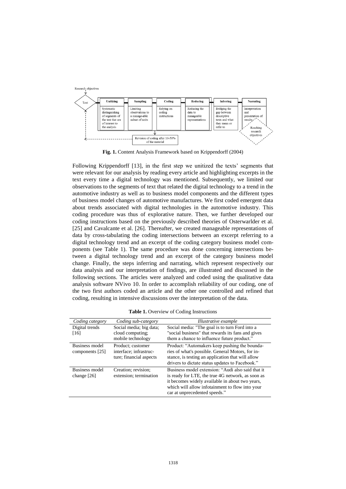

**Fig. 1.** Content Analysis Framework based on Krippendorff (2004)

Following Krippendorff [13], in the first step we unitized the texts' segments that were relevant for our analysis by reading every article and highlighting excerpts in the text every time a digital technology was mentioned. Subsequently, we limited our observations to the segments of text that related the digital technology to a trend in the automotive industry as well as to business model components and the different types of business model changes of automotive manufactures. We first coded emergent data about trends associated with digital technologies in the automotive industry. This coding procedure was thus of explorative nature. Then, we further developed our coding instructions based on the previously described theories of Osterwarlder et al. [25] and Cavalcante et al. [26]. Thereafter, we created manageable representations of data by cross-tabulating the coding intersections between an excerpt referring to a digital technology trend and an excerpt of the coding category business model components (see Table 1). The same procedure was done concerning intersections between a digital technology trend and an excerpt of the category business model change. Finally, the steps inferring and narrating, which represent respectively our data analysis and our interpretation of findings, are illustrated and discussed in the following sections. The articles were analyzed and coded using the qualitative data analysis software NVivo 10. In order to accomplish reliability of our coding, one of the two first authors coded an article and the other one controlled and refined that coding, resulting in intensive discussions over the interpretation of the data.

| Coding category                   | Coding sub-category                                                    | Illustrative example                                                                                                                                                                                                                          |
|-----------------------------------|------------------------------------------------------------------------|-----------------------------------------------------------------------------------------------------------------------------------------------------------------------------------------------------------------------------------------------|
| Digital trends<br>[16]            | Social media; big data;<br>cloud computing;<br>mobile technology       | Social media: "The goal is to turn Ford into a<br>"social business" that rewards its fans and gives<br>them a chance to influence future product."                                                                                            |
| Business model<br>components [25] | Product: customer<br>interface; infrastruc-<br>ture; financial aspects | Product: "Automakers keep pushing the bounda-<br>ries of what's possible. General Motors, for in-<br>stance, is testing an application that will allow<br>drivers to dictate status updates to Facebook."                                     |
| Business model<br>change $[26]$   | Creation; revision;<br>extension; termination                          | Business model extension: "Audi also said that it<br>is ready for LTE, the true 4G network, as soon as<br>it becomes widely available in about two years,<br>which will allow infotainment to flow into your<br>car at unprecedented speeds." |

**Table 1.** Overview of Coding Instructions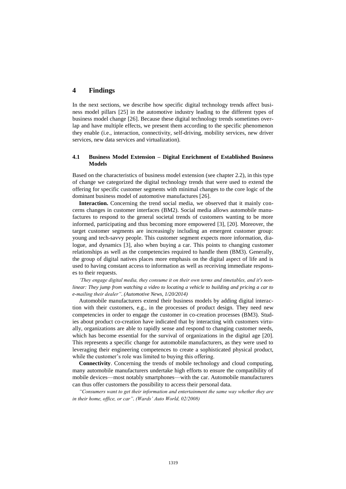# **4 Findings**

In the next sections, we describe how specific digital technology trends affect business model pillars [25] in the automotive industry leading to the different types of business model change [26]. Because these digital technology trends sometimes overlap and have multiple effects, we present them according to the specific phenomenon they enable (i.e., interaction, connectivity, self-driving, mobility services, new driver services, new data services and virtualization).

#### **4.1 Business Model Extension – Digital Enrichment of Established Business Models**

Based on the characteristics of business model extension (see chapter 2.2), in this type of change we categorized the digital technology trends that were used to extend the offering for specific customer segments with minimal changes to the core logic of the dominant business model of automotive manufactures [26].

**Interaction.** Concerning the trend social media, we observed that it mainly concerns changes in customer interfaces (BM2). Social media allows automobile manufactures to respond to the general societal trends of customers wanting to be more informed, participating and thus becoming more empowered [3], [20]. Moreover, the target customer segments are increasingly including an emergent customer group: young and tech-savvy people. This customer segment expects more information, dialogue, and dynamics [3], also when buying a car. This points to changing customer relationships as well as the competencies required to handle them (BM3). Generally, the group of digital natives places more emphasis on the digital aspect of life and is used to having constant access to information as well as receiving immediate responses to their requests.

*'They engage digital media, they consume it on their own terms and timetables, and it's nonlinear: They jump from watching a video to locating a vehicle to building and pricing a car to e-mailing their dealer". (Automotive News, 1/20/2014)*

Automobile manufacturers extend their business models by adding digital interaction with their customers, e.g., in the processes of product design. They need new competencies in order to engage the customer in co-creation processes (BM3). Studies about product co-creation have indicated that by interacting with customers virtually, organizations are able to rapidly sense and respond to changing customer needs, which has become essential for the survival of organizations in the digital age [20]. This represents a specific change for automobile manufacturers, as they were used to leveraging their engineering competences to create a sophisticated physical product, while the customer's role was limited to buying this offering.

**Connectivity**. Concerning the trends of mobile technology and cloud computing, many automobile manufacturers undertake high efforts to ensure the compatibility of mobile devices—most notably smartphones—with the car. Automobile manufacturers can thus offer customers the possibility to access their personal data.

*"Consumers want to get their information and entertainment the same way whether they are in their home, office, or car". (Wards' Auto World, 02/2008)*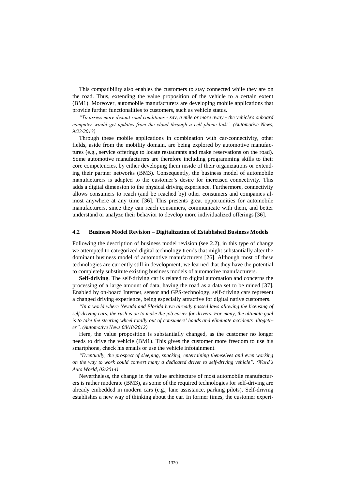This compatibility also enables the customers to stay connected while they are on the road. Thus, extending the value proposition of the vehicle to a certain extent (BM1). Moreover, automobile manufacturers are developing mobile applications that provide further functionalities to customers, such as vehicle status.

*"To assess more distant road conditions - say, a mile or more away - the vehicle's onboard computer would get updates from the cloud through a cell phone link". (Automotive News, 9/23/2013)*

Through these mobile applications in combination with car-connectivity, other fields, aside from the mobility domain, are being explored by automotive manufactures (e.g., service offerings to locate restaurants and make reservations on the road). Some automotive manufacturers are therefore including programming skills to their core competencies, by either developing them inside of their organizations or extending their partner networks (BM3). Consequently, the business model of automobile manufacturers is adapted to the customer's desire for increased connectivity. This adds a digital dimension to the physical driving experience. Furthermore, connectivity allows consumers to reach (and be reached by) other consumers and companies almost anywhere at any time [36]. This presents great opportunities for automobile manufacturers, since they can reach consumers, communicate with them, and better understand or analyze their behavior to develop more individualized offerings [36].

#### **4.2 Business Model Revision – Digitalization of Established Business Models**

Following the description of business model revision (see 2.2), in this type of change we attempted to categorized digital technology trends that might substantially alter the dominant business model of automotive manufacturers [26]. Although most of these technologies are currently still in development, we learned that they have the potential to completely substitute existing business models of automotive manufacturers.

**Self-driving**. The self-driving car is related to digital automation and concerns the processing of a large amount of data, having the road as a data set to be mined [37]. Enabled by on-board Internet, sensor and GPS-technology, self-driving cars represent a changed driving experience, being especially attractive for digital native customers.

*"In a world where Nevada and Florida have already passed laws allowing the licensing of self-driving cars, the rush is on to make the job easier for drivers. For many, the ultimate goal is to take the steering wheel totally out of consumers' hands and eliminate accidents altogether". (Automotive News 08/18/2012)*

Here, the value proposition is substantially changed, as the customer no longer needs to drive the vehicle (BM1). This gives the customer more freedom to use his smartphone, check his emails or use the vehicle infotainment.

*"Eventually, the prospect of sleeping, snacking, entertaining themselves and even working on the way to work could convert many a dedicated driver to self-driving vehicle". (Ward's Auto World, 02/2014)*

Nevertheless, the change in the value architecture of most automobile manufacturers is rather moderate (BM3), as some of the required technologies for self-driving are already embedded in modern cars (e.g., lane assistance, parking pilots). Self-driving establishes a new way of thinking about the car. In former times, the customer experi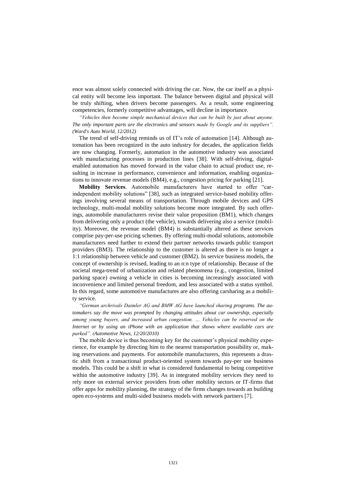ence was almost solely connected with driving the car. Now, the car itself as a physical entity will become less important. The balance between digital and physical will be truly shifting, when drivers become passengers. As a result, some engineering competencies, formerly competitive advantages, will decline in importance.

*"Vehicles then become simple mechanical devices that can be built by just about anyone. The only important parts are the electronics and sensors made by Google and its suppliers". (Ward's Auto World, 12/2012)*

The trend of self-driving reminds us of IT's role of automation [14]. Although automation has been recognized in the auto industry for decades, the application fields are now changing. Formerly, automation in the automotive industry was associated with manufacturing processes in production lines [38]. With self-driving, digitalenabled automation has moved forward in the value chain to actual product use, resulting in increase in performance, convenience and information, enabling organizations to innovate revenue models (BM4), e.g., congestion pricing for parking [21].

**Mobility Services**. Automobile manufacturers have started to offer "carindependent mobility solutions" [38], such as integrated service-based mobility offerings involving several means of transportation. Through mobile devices and GPS technology, multi-modal mobility solutions become more integrated. By such offerings, automobile manufacturers revise their value proposition (BM1), which changes from delivering only a product (the vehicle), towards delivering also a service (mobility). Moreover, the revenue model (BM4) is substantially altered as these services comprise pay-per-use pricing schemes. By offering multi-modal solutions, automobile manufacturers need further to extend their partner networks towards public transport providers (BM3). The relationship to the customer is altered as there is no longer a 1:1 relationship between vehicle and customer (BM2). In service business models, the concept of ownership is revised, leading to an n:n type of relationship. Because of the societal mega-trend of urbanization and related phenomena (e.g., congestion, limited parking space) owning a vehicle in cities is becoming increasingly associated with inconvenience and limited personal freedom, and less associated with a status symbol. In this regard, some automotive manufactures are also offering carsharing as a mobility service.

*"German archrivals Daimler AG and BMW AG have launched sharing programs. The automakers say the move was prompted by changing attitudes about car ownership, especially among young buyers, and increased urban congestion. … Vehicles can be reserved on the Internet or by using an iPhone with an application that shows where available cars are parked". (Automotive News, 12/20/2010)*

The mobile device is thus becoming key for the customer's physical mobility experience, for example by directing him to the nearest transportation possibility or, making reservations and payments. For automobile manufacturers, this represents a drastic shift from a transactional product-oriented system towards pay-per use business models. This could be a shift in what is considered fundamental to being competitive within the automotive industry [39]. As in integrated mobility services they need to rely more on external service providers from other mobility sectors or IT-firms that offer apps for mobility planning, the strategy of the firms changes towards an building open eco-systems and multi-sided business models with network partners [7].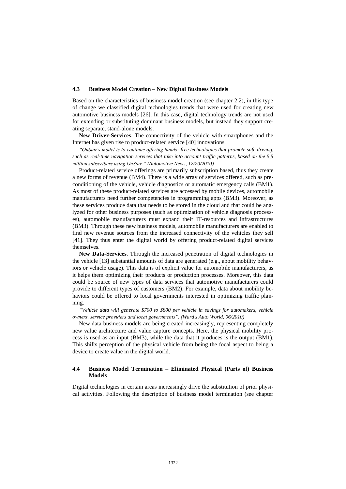#### **4.3 Business Model Creation – New Digital Business Models**

Based on the characteristics of business model creation (see chapter 2.2), in this type of change we classified digital technologies trends that were used for creating new automotive business models [26]. In this case, digital technology trends are not used for extending or substituting dominant business models, but instead they support creating separate, stand-alone models.

**New Driver-Services**. The connectivity of the vehicle with smartphones and the Internet has given rise to product-related service [40] innovations.

*"OnStar's model is to continue offering hands- free technologies that promote safe driving, such as real-time navigation services that take into account traffic patterns, based on the 5,5 million subscribers using OnStar." (Automotive News, 12/20/2010)*

Product-related service offerings are primarily subscription based, thus they create a new forms of revenue (BM4). There is a wide array of services offered, such as preconditioning of the vehicle, vehicle diagnostics or automatic emergency calls (BM1). As most of these product-related services are accessed by mobile devices, automobile manufacturers need further competencies in programming apps (BM3). Moreover, as these services produce data that needs to be stored in the cloud and that could be analyzed for other business purposes (such as optimization of vehicle diagnosis processes), automobile manufacturers must expand their IT-resources and infrastructures (BM3). Through these new business models, automobile manufacturers are enabled to find new revenue sources from the increased connectivity of the vehicles they sell [41]. They thus enter the digital world by offering product-related digital services themselves.

**New Data-Services**. Through the increased penetration of digital technologies in the vehicle [13] substantial amounts of data are generated (e.g., about mobility behaviors or vehicle usage). This data is of explicit value for automobile manufacturers, as it helps them optimizing their products or production processes. Moreover, this data could be source of new types of data services that automotive manufacturers could provide to different types of customers (BM2). For example, data about mobility behaviors could be offered to local governments interested in optimizing traffic planning.

*"Vehicle data will generate \$700 to \$800 per vehicle in savings for automakers, vehicle owners, service providers and local governments". (Ward's Auto World, 06/2010)*

New data business models are being created increasingly, representing completely new value architecture and value capture concepts. Here, the physical mobility process is used as an input (BM3), while the data that it produces is the output (BM1). This shifts perception of the physical vehicle from being the focal aspect to being a device to create value in the digital world.

#### **4.4 Business Model Termination – Eliminated Physical (Parts of) Business Models**

Digital technologies in certain areas increasingly drive the substitution of prior physical activities. Following the description of business model termination (see chapter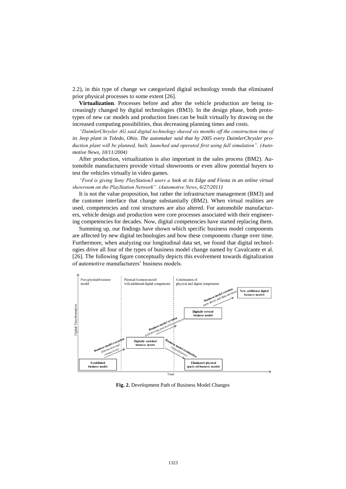2.2), in this type of change we categorized digital technology trends that eliminated prior physical processes to some extent [26].

**Virtualization**. Processes before and after the vehicle production are being increasingly changed by digital technologies (BM3). In the design phase, both prototypes of new car models and production lines can be built virtually by drawing on the increased computing possibilities, thus decreasing planning times and costs.

*"DaimlerChrysler AG said digital technology shaved six months off the construction time of its Jeep plant in Toledo, Ohio. The automaker said that by 2005 every DaimlerChrysler production plant will be planned, built, launched and operated first using full simulation". (Automotive News, 10/11/2004)*

After production, virtualization is also important in the sales process (BM2). Automobile manufacturers provide virtual showrooms or even allow potential buyers to test the vehicles virtually in video games.

*"Ford is giving Sony PlayStation3 users a look at its Edge and Fiesta in an online virtual showroom on the PlayStation Network". (Automotive News, 6/27/2011)*

It is not the value proposition, but rather the infrastructure management (BM3) and the customer interface that change substantially (BM2). When virtual realities are used, competencies and cost structures are also altered. For automobile manufacturers, vehicle design and production were core processes associated with their engineering competencies for decades. Now, digital competencies have started replacing them.

Summing up, our findings have shown which specific business model components are affected by new digital technologies and how these components change over time. Furthermore, when analyzing our longitudinal data set, we found that digital technologies drive all four of the types of business model change named by Cavalcante et al. [26]. The following figure conceptually depicts this evolvement towards digitalization of automotive manufacturers' business models.



**Fig. 2.** Development Path of Business Model Changes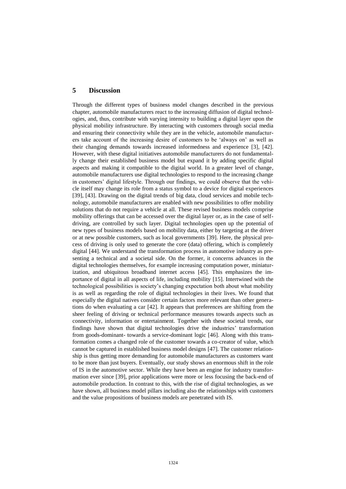# **5 Discussion**

Through the different types of business model changes described in the previous chapter, automobile manufacturers react to the increasing diffusion of digital technologies, and, thus, contribute with varying intensity to building a digital layer upon the physical mobility infrastructure. By interacting with customers through social media and ensuring their connectivity while they are in the vehicle, automobile manufacturers take account of the increasing desire of customers to be 'always on' as well as their changing demands towards increased informedness and experience [3], [42]. However, with these digital initiatives automobile manufacturers do not fundamentally change their established business model but expand it by adding specific digital aspects and making it compatible to the digital world. In a greater level of change, automobile manufacturers use digital technologies to respond to the increasing change in customers' digital lifestyle. Through our findings, we could observe that the vehicle itself may change its role from a status symbol to a device for digital experiences [39], [43]. Drawing on the digital trends of big data, cloud services and mobile technology, automobile manufacturers are enabled with new possibilities to offer mobility solutions that do not require a vehicle at all. These revised business models comprise mobility offerings that can be accessed over the digital layer or, as in the case of selfdriving, are controlled by such layer. Digital technologies open up the potential of new types of business models based on mobility data, either by targeting at the driver or at new possible customers, such as local governments [39]. Here, the physical process of driving is only used to generate the core (data) offering, which is completely digital [44]. We understand the transformation process in automotive industry as presenting a technical and a societal side. On the former, it concerns advances in the digital technologies themselves, for example increasing computation power, miniaturization, and ubiquitous broadband internet access [45]. This emphasizes the importance of digital in all aspects of life, including mobility [15]. Intertwined with the technological possibilities is society's changing expectation both about what mobility is as well as regarding the role of digital technologies in their lives. We found that especially the digital natives consider certain factors more relevant than other generations do when evaluating a car [42]. It appears that preferences are shifting from the sheer feeling of driving or technical performance measures towards aspects such as connectivity, information or entertainment. Together with these societal trends, our findings have shown that digital technologies drive the industries' transformation from goods-dominant- towards a service-dominant logic [46]. Along with this transformation comes a changed role of the customer towards a co-creator of value, which cannot be captured in established business model designs [47]. The customer relationship is thus getting more demanding for automobile manufacturers as customers want to be more than just buyers. Eventually, our study shows an enormous shift in the role of IS in the automotive sector. While they have been an engine for industry transformation ever since [39], prior applications were more or less focusing the back-end of automobile production. In contrast to this, with the rise of digital technologies, as we have shown, all business model pillars including also the relationships with customers and the value propositions of business models are penetrated with IS.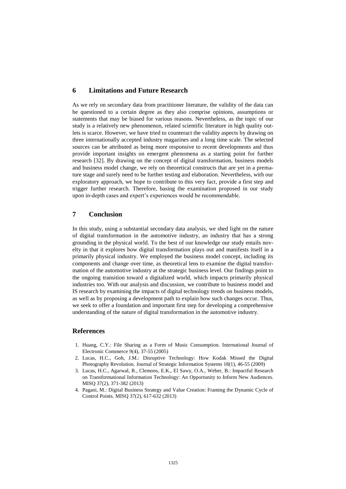# **6 Limitations and Future Research**

As we rely on secondary data from practitioner literature, the validity of the data can be questioned to a certain degree as they also comprise opinions, assumptions or statements that may be biased for various reasons. Nevertheless, as the topic of our study is a relatively new phenomenon, related scientific literature in high quality outlets is scarce. However, we have tried to counteract the validity aspects by drawing on three internationally accepted industry magazines and a long time scale. The selected sources can be attributed as being more responsive to recent developments and thus provide important insights on emergent phenomena as a starting point for further research [32]. By drawing on the concept of digital transformation, business models and business model change, we rely on theoretical constructs that are yet in a premature stage and surely need to be further testing and elaboration. Nevertheless, with our exploratory approach, we hope to contribute to this very fact, provide a first step and trigger further research. Therefore, basing the examination proposed in our study upon in-depth cases and expert's experiences would be recommendable.

# **7 Conclusion**

In this study, using a substantial secondary data analysis, we shed light on the nature of digital transformation in the automotive industry, an industry that has a strong grounding in the physical world. To the best of our knowledge our study entails novelty in that it explores how digital transformation plays out and manifests itself in a primarily physical industry. We employed the business model concept, including its components and change over time, as theoretical lens to examine the digital transformation of the automotive industry at the strategic business level. Our findings point to the ongoing transition toward a digitalized world, which impacts primarily physical industries too. With our analysis and discussion, we contribute to business model and IS research by examining the impacts of digital technology trends on business models, as well as by proposing a development path to explain how such changes occur. Thus, we seek to offer a foundation and important first step for developing a comprehensive understanding of the nature of digital transformation in the automotive industry.

### **References**

- 1. Huang, C.Y.: File Sharing as a Form of Music Consumption. International Journal of Electronic Commerce 9(4), 37-55 (2005)
- 2. Lucas, H.C., Goh, J.M.: Disruptive Technology: How Kodak Missed the Digital Photography Revolution. Journal of Strategic Information Systems 18(1), 46-55 (2009)
- 3. Lucas, H.C., Agarwal, R., Clemons, E.K., El Sawy, O.A., Weber, B.: Impactful Research on Transformational Information Technology: An Opportunity to Inform New Audiences. MISQ 37(2), 371-382 (2013)
- 4. Pagani, M.: Digital Business Strategy and Value Creation: Framing the Dynamic Cycle of Control Points. MISQ 37(2), 617-632 (2013)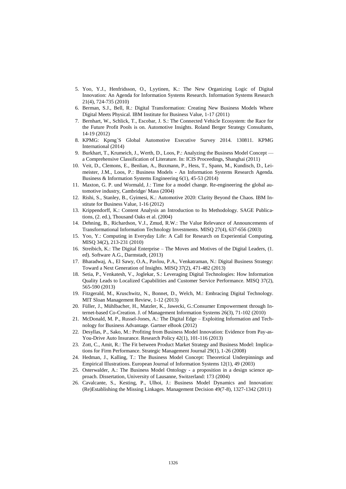- 5. Yoo, Y.J., Henfridsson, O., Lyytinen, K.: The New Organizing Logic of Digital Innovation: An Agenda for Information Systems Research. Information Systems Research 21(4), 724-735 (2010)
- 6. Berman, S.J., Bell, R.: Digital Transformation: Creating New Business Models Where Digital Meets Physical. IBM Institute for Business Value, 1-17 (2011)
- 7. Bernhart, W., Schlick, T., Escobar, J. S.: The Connected Vehicle Ecosystem: the Race for the Future Profit Pools is on. Automotive Insights. Roland Berger Strategy Consultants, 14-19 (2012)
- 8. KPMG: Kpmg´S Global Automotive Executive Survey 2014. 130811. KPMG International (2014)
- 9. Burkhart, T., Krumeich, J., Werth, D., Loos, P.: Analyzing the Business Model Concept a Comprehensive Classification of Literature. In: ICIS Proceedings, Shanghai (2011)
- 10. Veit, D., Clemons, E., Benlian, A., Buxmann, P., Hess, T., Spann, M., Kundisch, D., Leimeister, J.M., Loos, P.: Business Models - An Information Systems Research Agenda. Business & Information Systems Engineering 6(1), 45-53 (2014)
- 11. Maxton, G. P. und Wormald, J.: Time for a model change. Re-engineering the global automotive industry, Cambridge/ Mass (2004)
- 12. Rishi, S., Stanley, B., Gyimesi, K.: Automotive 2020: Clarity Beyond the Chaos. IBM Institute for Business Value, 1-16 (2012)
- 13. Krippendorff, K.: Content Analysis an Introduction to Its Methodology. SAGE Publications, (2. ed.), Thousand Oaks et al. (2004)
- 14. Dehning, B., Richardson, V.J., Zmud, R.W.: The Value Relevance of Announcements of Transformational Information Technology Investments. MISQ 27(4), 637-656 (2003)
- 15. Yoo, Y.: Computing in Everyday Life: A Call for Research on Experiential Computing. MISQ 34(2), 213-231 (2010)
- 16. Streibich, K.: The Digital Enterprise The Moves and Motives of the Digital Leaders, (1. ed). Software A.G., Darmstadt, (2013)
- 17. Bharadwaj, A., El Sawy, O.A., Pavlou, P.A., Venkatraman, N.: Digital Business Strategy: Toward a Next Generation of Insights. MISQ 37(2), 471-482 (2013)
- 18. Setia, P., Venkatesh, V., Joglekar, S.: Leveraging Digital Technologies: How Information Quality Leads to Localized Capabilities and Customer Service Performance. MISQ 37(2), 565-590 (2013)
- 19. Fitzgerald, M., Kruschwitz, N., Bonnet, D., Welch, M.: Embracing Digital Technology. MIT Sloan Management Review, 1-12 (2013)
- 20. Füller, J., Mühlbacher, H., Matzler, K., Jawecki, G.:Consumer Empowerment through Internet-based Co-Creation. J. of Management Information Systems 26(3), 71-102 (2010)
- 21. McDonald, M. P., Russel-Jones, A.: The Digital Edge Exploiting Information and Technology for Business Advantage. Gartner eBook (2012)
- 22. Desyllas, P., Sako, M.: Profiting from Business Model Innovation: Evidence from Pay-as-You-Drive Auto Insurance. Research Policy 42(1), 101-116 (2013)
- 23. Zott, C., Amit, R.: The Fit between Product Market Strategy and Business Model: Implications for Firm Performance. Strategic Management Journal 29(1), 1-26 (2008)
- 24. Hedman, J., Kalling, T.: The Business Model Concept: Theoretical Underpinnings and Empirical Illustrations. European Journal of Information Systems 12(1), 49 (2003)
- 25. Osterwalder, A.: The Business Model Ontology a proposition in a design science approach. Dissertation, University of Lausanne, Switzerland: 173 (2004)
- 26. Cavalcante, S., Kesting, P., Ulhoi, J.: Business Model Dynamics and Innovation: (Re)Establishing the Missing Linkages. Management Decision 49(7-8), 1327-1342 (2011)